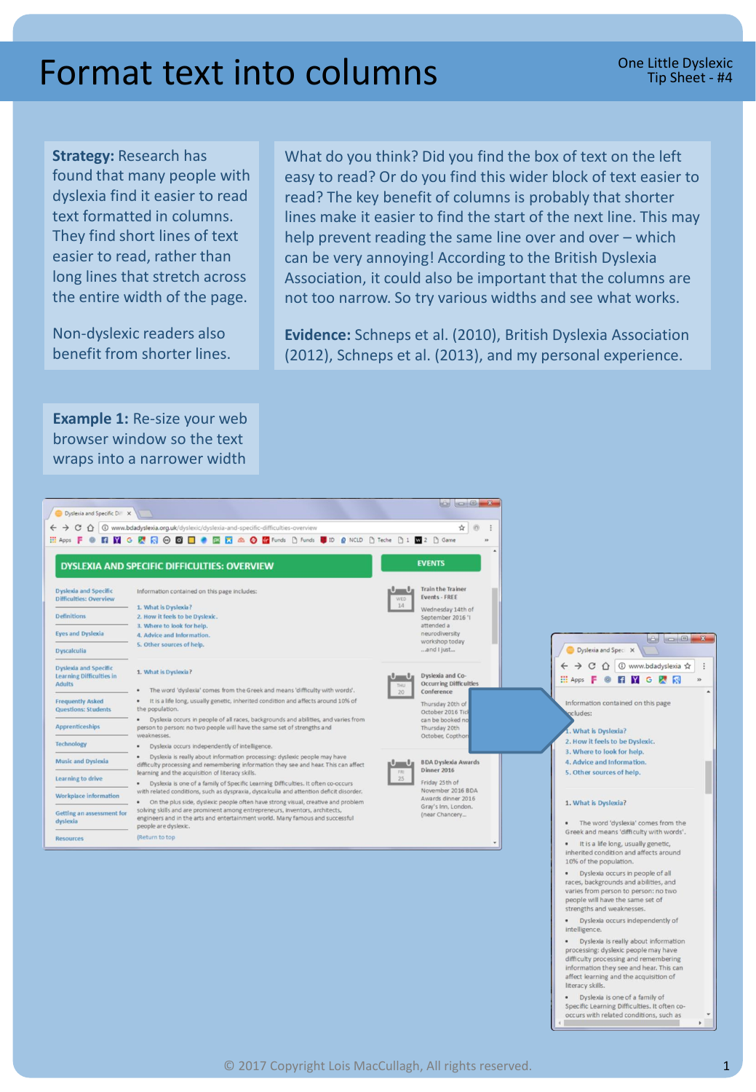## Format text into columns

**Strategy:** Research has

found that many people with dyslexia find it easier to read text formatted in columns. They find short lines of text easier to read, rather than long lines that stretch across the entire width of the page.

Non-dyslexic readers also benefit from shorter lines. What do you think? Did you find the box of text on the left easy to read? Or do you find this wider block of text easier to read? The key benefit of columns is probably that shorter lines make it easier to find the start of the next line. This may help prevent reading the same line over and over – which can be very annoying! According to the British Dyslexia Association, it could also be important that the columns are not too narrow. So try various widths and see what works.

**Evidence:** Schneps et al. (2010), British Dyslexia Association (2012), Schneps et al. (2013), and my personal experience.

**Example 1:** Re-size your web browser window so the text wraps into a narrower width

| Dyslexia and Specific Diff X                                                     |                                                                                                                                                                                                                                                                                                                                                                                                                                                                                                                              | <b>CO C X</b>                                                                  |                                                                                                                                                                    |
|----------------------------------------------------------------------------------|------------------------------------------------------------------------------------------------------------------------------------------------------------------------------------------------------------------------------------------------------------------------------------------------------------------------------------------------------------------------------------------------------------------------------------------------------------------------------------------------------------------------------|--------------------------------------------------------------------------------|--------------------------------------------------------------------------------------------------------------------------------------------------------------------|
| ⇧                                                                                | 1 www.bdadyslexia.org.uk/dyslexic/dyslexia-and-specific-difficulties-overview                                                                                                                                                                                                                                                                                                                                                                                                                                                | ☆<br>$\omega$<br>$\ddot{z}$                                                    |                                                                                                                                                                    |
| $\frac{111}{211}$ Apps $\blacksquare$                                            | <b>● 日 M G M R @ B □ ● 図 图 血 ② 图</b> Funds D Funds U ID @ NCLD D Teche D 1 <b>M</b> 2 D Game                                                                                                                                                                                                                                                                                                                                                                                                                                 | $\mathbf{v}$                                                                   |                                                                                                                                                                    |
|                                                                                  | <b>DYSLEXIA AND SPECIFIC DIFFICULTIES: OVERVIEW</b>                                                                                                                                                                                                                                                                                                                                                                                                                                                                          | <b>EVENTS</b>                                                                  |                                                                                                                                                                    |
| <b>Dyslexia and Specific</b><br><b>Difficulties: Overview</b>                    | Information contained on this page includes:<br>1. What is Dyslexia?                                                                                                                                                                                                                                                                                                                                                                                                                                                         | Train the Trainer<br>$\mathbf{I} = \mathbf{I}_H$<br>Events - FREE<br>WED<br>14 |                                                                                                                                                                    |
| <b>Definitions</b>                                                               | 2. How it feels to be Dyslexic.                                                                                                                                                                                                                                                                                                                                                                                                                                                                                              | Wednesday 14th of<br>September 2016 'I<br>attended a                           |                                                                                                                                                                    |
| <b>Eyes and Dyslexia</b>                                                         | 3. Where to look for help.<br>4. Advice and Information.<br>5. Other sources of help.                                                                                                                                                                                                                                                                                                                                                                                                                                        | neurodiversity<br>workshop today<br>and I just                                 |                                                                                                                                                                    |
| <b>Dyscalculia</b>                                                               |                                                                                                                                                                                                                                                                                                                                                                                                                                                                                                                              |                                                                                | Dyslexia and Speci X<br>$\mathcal{C}$<br>① www.bdadyslexia ☆<br>÷<br>FIYGRE<br>$\frac{111}{211}$ Apps $\blacksquare$<br>35 <sub>1</sub>                            |
| <b>Dyslexia and Specific</b><br><b>Learning Difficulties in</b><br><b>Adults</b> | 1. What is Dyslexia?<br>The word 'dyslexia' comes from the Greek and means 'difficulty with words'.                                                                                                                                                                                                                                                                                                                                                                                                                          | Dyslexia and Co-<br><b>Occurring Difficulties</b><br>THU<br>20<br>Conference   |                                                                                                                                                                    |
| <b>Frequently Asked</b><br><b>Questions: Students</b>                            | It is a life long, usually genetic, inherited condition and affects around 10% of<br>$\bullet$<br>the population.                                                                                                                                                                                                                                                                                                                                                                                                            | Thursday 20th of<br>October 2016 Tick                                          | Information contained on this page<br>ocludes:                                                                                                                     |
| <b>Apprenticeships</b>                                                           | Dyslexia occurs in people of all races, backgrounds and abilities, and varies from<br>person to person: no two people will have the same set of strengths and<br>weaknesses.                                                                                                                                                                                                                                                                                                                                                 | can be booked no<br>Thursday 20th<br>October, Copthon                          | . What is Dyslexia?                                                                                                                                                |
| <b>Technology</b>                                                                | Dyslexia occurs independently of intelligence.                                                                                                                                                                                                                                                                                                                                                                                                                                                                               |                                                                                | 2. How it feels to be Dyslexic.<br>3. Where to look for help.                                                                                                      |
| <b>Music and Dyslexia</b>                                                        | Dyslexia is really about information processing: dyslexic people may have<br>٠<br>difficulty processing and remembering information they see and hear. This can affect                                                                                                                                                                                                                                                                                                                                                       | <b>BDA Dyslexia Awards</b><br><b>Dinner 2016</b><br>FRE                        | 4. Advice and Information.<br>5. Other sources of help.                                                                                                            |
| Learning to drive                                                                | learning and the acquisition of literacy skills.<br>· Dyslexia is one of a family of Specific Learning Difficulties. It often co-occurs<br>with related conditions, such as dyspraxia, dyscalculia and attention deficit disorder.<br>On the plus side, dyslexic people often have strong visual, creative and problem<br>$\bullet$<br>solving skills and are prominent among entrepreneurs, inventors, architects,<br>engineers and in the arts and entertainment world. Many famous and successful<br>people are dyslexic. | 25<br>Friday 25th of                                                           | 1. What is Dyslexia?<br>. The word 'dyslexia' comes from the                                                                                                       |
| Workplace information                                                            |                                                                                                                                                                                                                                                                                                                                                                                                                                                                                                                              | November 2016 BDA<br>Awards dinner 2016<br>Gray's Inn, London.                 |                                                                                                                                                                    |
| Getting an assessment for<br>dyslexia                                            |                                                                                                                                                                                                                                                                                                                                                                                                                                                                                                                              | (near Chancery                                                                 |                                                                                                                                                                    |
| <b>Resources</b>                                                                 | (Return to top                                                                                                                                                                                                                                                                                                                                                                                                                                                                                                               |                                                                                | Greek and means 'difficulty with words'.<br>· It is a life long, usually genetic,<br>inherited condition and affects around<br>10% of the population.              |
|                                                                                  |                                                                                                                                                                                                                                                                                                                                                                                                                                                                                                                              |                                                                                | Dyslexia occurs in people of all<br>$\bullet$<br>races, backgrounds and abilities, and<br>varies from person to person: no two<br>people will have the same set of |

strengths and weaknesses. · Dyslexia occurs independently of intelligence.

· Dyslexia is really about information processing: dyslexic people may have difficulty processing and remembering<br>information they see and hear. This can<br>affect learning and the acquisition of literacy skills.

· Dyslexia is one of a family of Specific Learning Difficulties. It often cooccurs with related conditions, such as